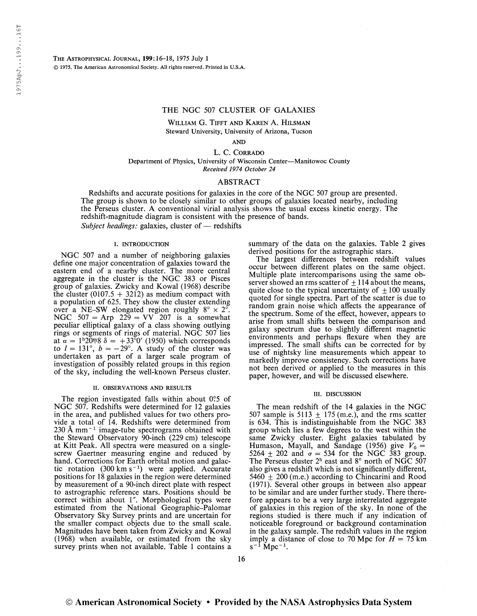The Astrophysigal Journal, 199:16-18, 1975 July <sup>1</sup> © 1975. The American Astronomical Society. All rights reserved. Printed in U.S.A.

# THE NGC 507 CLUSTER OF GALAXIES

William G. Tifft and Karen A. Hilsman Steward University, University of Arizona, Tucson

AND

L. C. CORRADO Department of Physics, University of Wisconsin Center—Manitowoc County Received 1974 October 24

## ABSTRACT

Redshifts and accurate positions for galaxies in the core of the NGC 507 group are presented. The group is shown to be closely similar to other groups of galaxies located nearby, including the Perseus cluster. A conventional virial analysis shows the usual excess kinetic energy. The redshift-magnitude diagram is consistent with the presence of bands.

Subject headings: galaxies, cluster of  $-$  redshifts

## I. INTRODUCTION

NGC 507 and a number of neighboring galaxies define one major concentration of galaxies toward the eastern end of a nearby cluster. The more central aggregate in the cluster is the NGC 383 or Pisces group of galaxies. Zwicky and Kowal (1968) describe the cluster  $(0107.5 + 3212)$  as medium compact with a population of 625. They show the cluster extending over a NE-SW elongated region roughly  $8^{\circ} \times 2^{\circ}$ . NGC  $507 =$  Arp  $229 =$  VV  $207$  is a somewhat peculiar elliptical galaxy of a class showing outlying rings or segments of rings of material. NGC 507 lies at  $\alpha = 1^{\text{h}}20^{\text{m}}8 \delta = +33^{\circ}0'$  (1950) which corresponds to  $l = 131^{\circ}$ ,  $b = -29^{\circ}$ . A study of the cluster was undertaken as part of a larger scale program of investigation of possibly related groups in this region of the sky, including the well-known Perseus cluster.

## II. OBSERVATIONS AND RESULTS

The region investigated falls within about 0?5 of NGC 507. Redshifts were determined for 12 galaxies in the area, and published values for two others provide a total of 14. Redshifts were determined from vide a total of 14. Redshifts were determined from<br>230 Å mm<sup>-1</sup> image-tube spectrograms obtained with the Steward Observatory 90-inch (229 cm) telescope at Kitt Peak. All spectra were measured on a singlescrew Gaertner measuring engine and reduced by hand. Corrections for Earth orbital motion and galacmand: Corrections for Earth orbital motion and galactic rotation (300 km s<sup>-1</sup>) were applied. Accurate positions for 18 galaxies in the region were determined by measurement of a 90-inch direct plate with respect to astrographic reference stars. Positions should be correct within about 1". Morphological types were estimated from the National Geographic-Palomar Observatory Sky Survey prints and are uncertain for the smaller compact objects due to the small scale. Magnitudes have been taken from Zwicky and Kowal (1968) when available, or estimated from the sky survey prints when not available. Table <sup>1</sup> contains a summary of the data on the galaxies. Table 2 gives derived positions for the astrographic stars.

The largest differences between redshift values occur between different plates on the same object. Multiple plate intercomparisons using the same observer showed an rms scatter of  $\pm$  114 about the means, quite close to the typical uncertainty of  $\pm 100$  usually quoted for single spectra. Part of the scatter is due to random grain noise which affects the appearance of the spectrum. Some of the effect, however, appears to arise from small shifts between the comparison and galaxy spectrum due to slightly different magnetic environments and perhaps flexure when they are impressed. The small shifts can be corrected for by use of nightsky line measurements which appear to markedly improve consistency. Such corrections have not been derived or applied to the measures in this paper, however, and will be discussed elsewhere.

### in. DISCUSSION

The mean redshift of the 14 galaxies in the NGC 507 sample is 5113  $\pm$  175 (m.e.), and the rms scatter is 634. This is indistinguishable from the NGC 383 group which lies a few degrees to the west within the same Zwicky cluster. Eight galaxies tabulated by Humason, Mayall, and Sandage (1956) give  $V_0 =$ 5264  $\pm$  202 and  $\sigma = 534$  for the NGC 383 group. The Perseus cluster  $2<sup>h</sup>$  east and  $8<sup>°</sup>$  north of NGC 507 also gives a redshift which is not significantly different, 5460  $\pm$  200 (m.e.) according to Chincarini and Rood (1971). Several other groups in between also appear to be similar and are under further study. There therefore appears to be a very large interrelated aggregate of galaxies in this region of the sky. In none of the regions studied is there much if any indication of noticeable foreground or background contamination in the galaxy sample. The redshift values in the region imply a distance of close to 70 Mpc for  $H = 75$  km s<sup>-1</sup> Mpc<sup>-1</sup>.  $s^{-1}$  Mpc<sup>-1</sup>.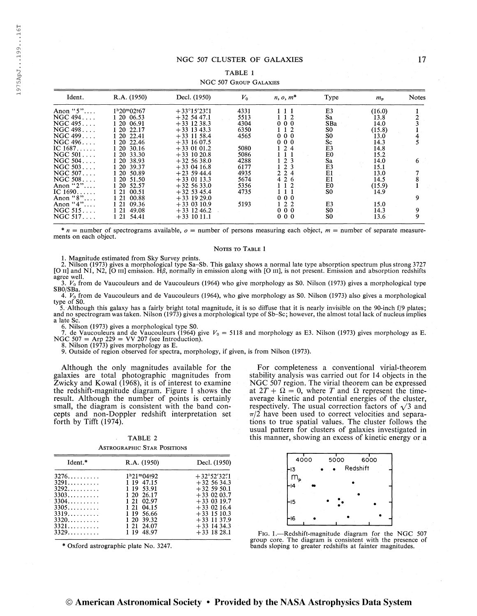## NGC 507 CLUSTER OF GALAXIES 17

## TABLE <sup>1</sup>

# NGC 507 Group Galaxies

| Ident.           | R.A. (1950)    | Decl. (1950)                               | $V_{0}$ | $n, o, m^*$ | Type           | $m_p$  | <b>Notes</b> |
|------------------|----------------|--------------------------------------------|---------|-------------|----------------|--------|--------------|
| Anon "5"         | $1h20m02s67$   | $+33^{\circ}15^{\prime}23^{\prime\prime}1$ | 4331    | 111         | E3             | (16.0) |              |
| NGC 494          | 1 20 06.53     | $+32, 54, 47.1$                            | 5513    | 112         | Sa             | 13.8   | 2            |
| NGC 495          | 1 20 06.91     | $+33$ 12 38.3                              | 4304    | 000         | SBa            | 14.0   |              |
| NGC 498          | 20 22.17       | $+33$ 13 43.3                              | 6350    | 112         | S0             | (15.8) |              |
| NGC 499          | -20<br>22.41   | $+33$ 11 58.4                              | 4565    | 000         | S0             | 13.0   | 4            |
| NGC 496          | 20 22.46       | $+33$ 16 07.5                              |         | 000         | Sc             | 14.3   |              |
| IC $1687$        | 120<br>30.16   | $+33$ 01 01.2                              | 5080    | 124         | E3             | 14.8   |              |
| $NGC 501 \ldots$ | 1 20<br>33.30  | $+33$ 10 20.8                              | 5086    | 1 1         | E0             | 15.2   |              |
| NGC 504          | 1 20<br>38.93  | $+32$ 56 38.0                              | 4288    | 1, 2, 3     | Sa             | 14.0   | 6            |
| NGC 503          | 1 20 39.37     | $+33$ 04 16.8                              | 6177    | $1\ 2\ 3$   | E3             | 15.1   |              |
| NGC $507$        | 1 20<br>50.89  | $+23$ 59 44.4                              | 4935    | 2 2 4       | E1             | 13.0   |              |
| NGC 508          | 1 20<br>51.50  | $+33$ 01 13.3                              | 5674    | 4 2 6       | E1             | 14.5   |              |
| Anon " $2$ "     | 1 20 52.57     | $+32, 56, 33.0$                            | 5356    | 112         | E0             | (15.9) |              |
| IC $1690$        | 121<br>00.51   | $+32$ 53 45.4                              | 4735    | 1 1 1       | S <sub>0</sub> | 14.9   |              |
| Anon " $8$ "     | 00.88<br>121   | $+33$ 19 29.0                              |         | 000         |                |        | 9            |
| Anon " $4$ "     | 09.36<br>121   | $+33$ 03 10.9                              | 5193    | $1\ 2\ 2$   | E3             | 15.0   |              |
| NGC 515          | 49.08<br>1 21  | $+33$ 12 46.2                              |         | 000         | S0             | 14.3   | 9            |
| NGC 517          | 1 2 1<br>54.41 | $+33$ 10 11.1                              |         | 000         | S0             | 13.6   | 9            |

 $n =$  number of spectrograms available,  $o =$  number of persons measuring each object,  $m =$  number of separate measurements on each object.

#### NOTES TO TABLE 1

1. Magnitude estimated from Sky Survey prints.

2. Nilson (1973) gives a morphological type Sa-Sb. This galaxy shows a normal late type absorption spectrum plus strong 3727 [O ii] and NI, N2, [O m] emission. Hß, normally in emission along with [O m], is not present. Emission and absorption redshifts agree well.

 $3. V_0$  from de Vaucouleurs and de Vaucouleurs (1964) who give morphology as S0. Nilson (1973) gives a morphological type SBO/SBa.

4.  $V_0$  from de Vaucouleurs and de Vaucouleurs (1964), who give morphology as S0. Nilson (1973) also gives a morphological type of SO.

5. Although this galaxy has a fairly bright total magnitude, it is so diffuse that it is nearly invisible on the 90-inch f/9 plates; and no spectrogram was taken. Nilson (1973) gives a morphological type of Sb-Sc; however, the almost total lack of nucleus implies a late Sc.

6. Nilson (1973) gives a morphological type SO.

7. de Vaucouleurs and de Vaucouleurs (1964) give  $V_0 = 5118$  and morphology as E3. Nilson (1973) gives morphology as E.<br>NGC 507 = Arp 229 = VV 207 (see Introduction).<br>8. Nilson (1973) gives morphology as E.

9. Outside of region observed for spectra, morphology, if given, is from Nilson (1973).

Although the only magnitudes available for the galaxies are total photographic magnitudes from Zwicky and Kowal (1968), it is of interest to examine the redshift-magnitude diagram. Figure <sup>1</sup> shows the result. Although the number of points is certainly small, the diagram is consistent with the band concepts and non-Doppler redshift interpretation set forth by Tifft (1974).

| TABLE 2                            |  |  |  |  |  |  |  |
|------------------------------------|--|--|--|--|--|--|--|
| <b>ASTROGRAPHIC STAR POSITIONS</b> |  |  |  |  |  |  |  |

| Ident.* | R.A. (1950)  | Decl. (1950)                               | 4000<br>5000<br>6                  |
|---------|--------------|--------------------------------------------|------------------------------------|
|         |              |                                            | Redshif<br>H3                      |
| $3276$  | $1h21m04s92$ | $+32^{\circ}52^{\prime}32^{\prime\prime}1$ | m.                                 |
| 3291    | 1 19 47.15   | $+32, 56, 34.3$                            |                                    |
| 3292    | 1 19 53.91   | $+32,59,50.1$                              | Н4                                 |
| $3303$  | 1 20 26.17   | $+33$ 02 03.7                              |                                    |
| $3304$  | 1 21 02.97   | $+33$ 03 19.7                              | Н5                                 |
| 3305    | 1 21 04.15   | $+33$ 02 16.4                              |                                    |
| 3319    | 1 19 56.66   | $+33$ 15 10.3                              |                                    |
| 3320    | 1 20 39.32   | $+33$ 11 37.9                              | ы,                                 |
| 3321    | 12124.07     | $+33$ 14 34.3                              |                                    |
| 3329    | 48.97<br>119 | $+33$ 18 28.1                              | FIG. 1.-Redshift-magnitude diagram |
|         |              |                                            |                                    |

\* Oxford astrographic plate No. 3247.

For completeness a conventional virial-theorem stability analysis was carried out for 14 objects in the NGC 507 region. The virial theorem can be expressed at  $2T + \Omega = 0$ , where T and  $\Omega$  represent the timeaverage kinetic and potential energies of the cluster, respectively. The usual correction factors of  $\sqrt{3}$  and  $\pi/2$  have been used to correct velocities and separations to true spatial values. The cluster follows the usual pattern for clusters of galaxies investigated in this manner, showing an excess of kinetic energy or a



FIG. 1.—Redshift-magnitude diagram for the NGC 507 group core. The diagram is consistent with the presence of bands sloping to greater redshifts at fainter magnitudes.

H